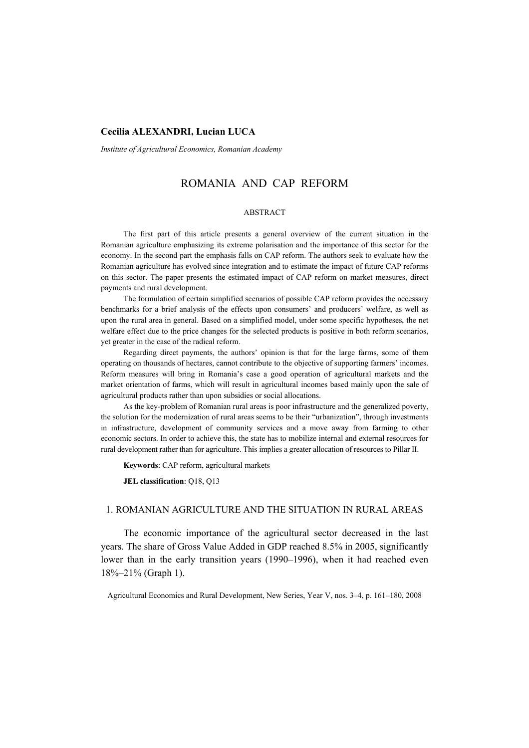# **Cecilia ALEXANDRI, Lucian LUCA**

*Institute of Agricultural Economics, Romanian Academy* 

# ROMANIA AND CAP REFORM

### ABSTRACT

The first part of this article presents a general overview of the current situation in the Romanian agriculture emphasizing its extreme polarisation and the importance of this sector for the economy. In the second part the emphasis falls on CAP reform. The authors seek to evaluate how the Romanian agriculture has evolved since integration and to estimate the impact of future CAP reforms on this sector. The paper presents the estimated impact of CAP reform on market measures, direct payments and rural development.

The formulation of certain simplified scenarios of possible CAP reform provides the necessary benchmarks for a brief analysis of the effects upon consumers' and producers' welfare, as well as upon the rural area in general. Based on a simplified model, under some specific hypotheses, the net welfare effect due to the price changes for the selected products is positive in both reform scenarios, yet greater in the case of the radical reform.

Regarding direct payments, the authors' opinion is that for the large farms, some of them operating on thousands of hectares, cannot contribute to the objective of supporting farmers' incomes. Reform measures will bring in Romania's case a good operation of agricultural markets and the market orientation of farms, which will result in agricultural incomes based mainly upon the sale of agricultural products rather than upon subsidies or social allocations.

As the key-problem of Romanian rural areas is poor infrastructure and the generalized poverty, the solution for the modernization of rural areas seems to be their "urbanization", through investments in infrastructure, development of community services and a move away from farming to other economic sectors. In order to achieve this, the state has to mobilize internal and external resources for rural development rather than for agriculture. This implies a greater allocation of resources to Pillar II.

**Keywords**: CAP reform, agricultural markets

**JEL classification**: Q18, Q13

# 1. ROMANIAN AGRICULTURE AND THE SITUATION IN RURAL AREAS

The economic importance of the agricultural sector decreased in the last years. The share of Gross Value Added in GDP reached 8.5% in 2005, significantly lower than in the early transition years (1990–1996), when it had reached even 18%–21% (Graph 1).

Agricultural Economics and Rural Development, New Series, Year V, nos. 3–4, p. 161–180, 2008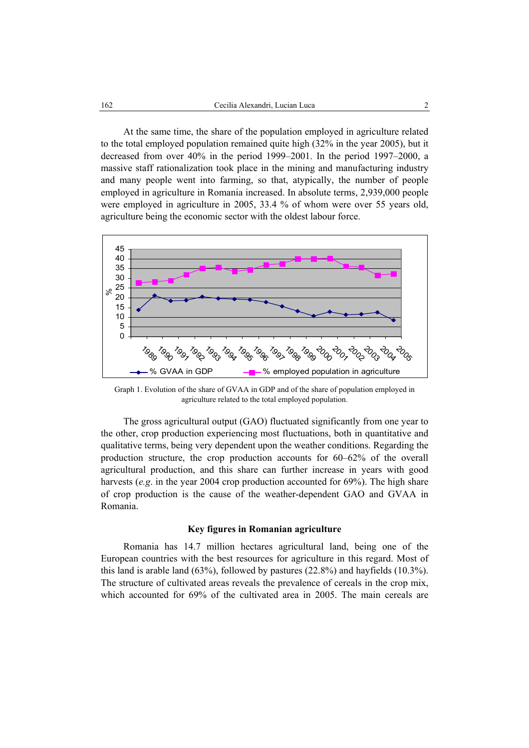At the same time, the share of the population employed in agriculture related to the total employed population remained quite high (32% in the year 2005), but it decreased from over 40% in the period 1999–2001. In the period 1997–2000, a massive staff rationalization took place in the mining and manufacturing industry and many people went into farming, so that, atypically, the number of people employed in agriculture in Romania increased. In absolute terms, 2,939,000 people were employed in agriculture in 2005, 33.4 % of whom were over 55 years old, agriculture being the economic sector with the oldest labour force.



Graph 1. Evolution of the share of GVAA in GDP and of the share of population employed in agriculture related to the total employed population.

The gross agricultural output (GAO) fluctuated significantly from one year to the other, crop production experiencing most fluctuations, both in quantitative and qualitative terms, being very dependent upon the weather conditions. Regarding the production structure, the crop production accounts for 60–62% of the overall agricultural production, and this share can further increase in years with good harvests (*e.g*. in the year 2004 crop production accounted for 69%). The high share of crop production is the cause of the weather-dependent GAO and GVAA in Romania.

### **Key figures in Romanian agriculture**

Romania has 14.7 million hectares agricultural land, being one of the European countries with the best resources for agriculture in this regard. Most of this land is arable land (63%), followed by pastures (22.8%) and hayfields (10.3%). The structure of cultivated areas reveals the prevalence of cereals in the crop mix, which accounted for 69% of the cultivated area in 2005. The main cereals are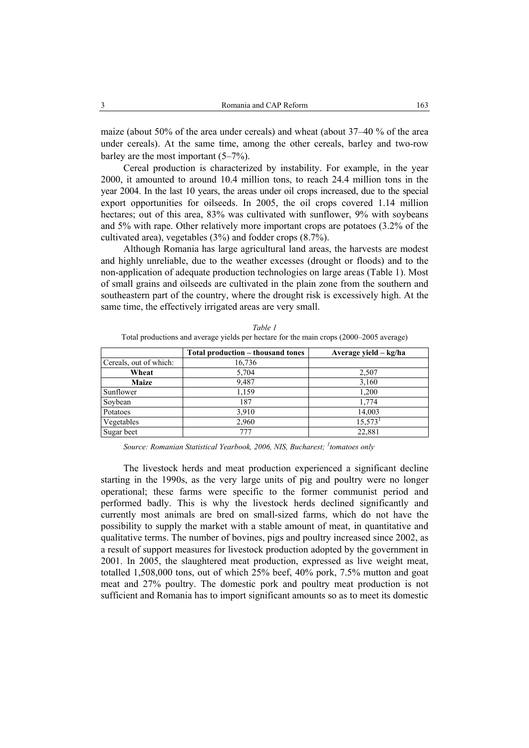maize (about 50% of the area under cereals) and wheat (about 37–40 % of the area under cereals). At the same time, among the other cereals, barley and two-row barley are the most important (5–7%).

Cereal production is characterized by instability. For example, in the year 2000, it amounted to around 10.4 million tons, to reach 24.4 million tons in the year 2004. In the last 10 years, the areas under oil crops increased, due to the special export opportunities for oilseeds. In 2005, the oil crops covered 1.14 million hectares; out of this area, 83% was cultivated with sunflower, 9% with soybeans and 5% with rape. Other relatively more important crops are potatoes (3.2% of the cultivated area), vegetables (3%) and fodder crops (8.7%).

Although Romania has large agricultural land areas, the harvests are modest and highly unreliable, due to the weather excesses (drought or floods) and to the non-application of adequate production technologies on large areas (Table 1). Most of small grains and oilseeds are cultivated in the plain zone from the southern and southeastern part of the country, where the drought risk is excessively high. At the same time, the effectively irrigated areas are very small.

|                        | Total production – thousand tones | Average yield – kg/ha |
|------------------------|-----------------------------------|-----------------------|
| Cereals, out of which: | 16,736                            |                       |
| Wheat                  | 5,704                             | 2,507                 |
| <b>Maize</b>           | 9,487                             | 3,160                 |
| Sunflower              | 1,159                             | 1,200                 |
| Soybean                | 187                               | 1,774                 |
| Potatoes               | 3,910                             | 14,003                |
| Vegetables             | 2,960                             | $15,573$ <sup>1</sup> |
| Sugar beet             | 777                               | 22,881                |

*Table 1*  Total productions and average yields per hectare for the main crops (2000–2005 average)

*Source: Romanian Statistical Yearbook, 2006, NIS, Bucharest; <sup>1</sup> tomatoes only* 

The livestock herds and meat production experienced a significant decline starting in the 1990s, as the very large units of pig and poultry were no longer operational; these farms were specific to the former communist period and performed badly. This is why the livestock herds declined significantly and currently most animals are bred on small-sized farms, which do not have the possibility to supply the market with a stable amount of meat, in quantitative and qualitative terms. The number of bovines, pigs and poultry increased since 2002, as a result of support measures for livestock production adopted by the government in 2001. In 2005, the slaughtered meat production, expressed as live weight meat, totalled 1,508,000 tons, out of which 25% beef, 40% pork, 7.5% mutton and goat meat and 27% poultry. The domestic pork and poultry meat production is not sufficient and Romania has to import significant amounts so as to meet its domestic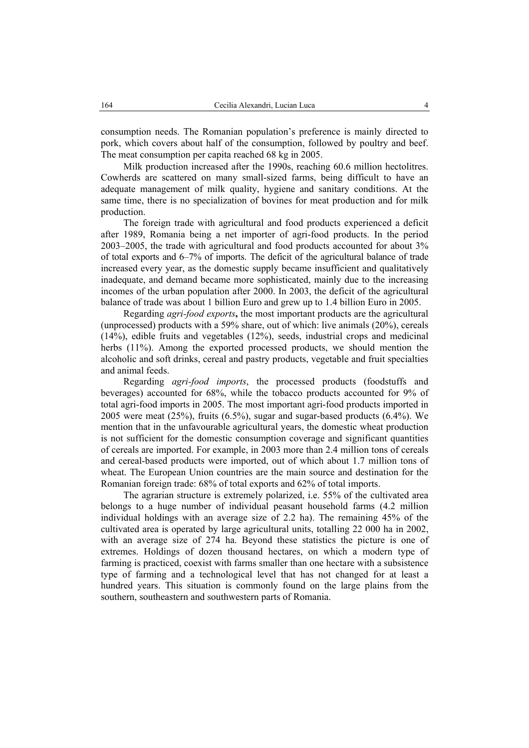consumption needs. The Romanian population's preference is mainly directed to pork, which covers about half of the consumption, followed by poultry and beef. The meat consumption per capita reached 68 kg in 2005.

Milk production increased after the 1990s, reaching 60.6 million hectolitres. Cowherds are scattered on many small-sized farms, being difficult to have an adequate management of milk quality, hygiene and sanitary conditions. At the same time, there is no specialization of bovines for meat production and for milk production.

The foreign trade with agricultural and food products experienced a deficit after 1989, Romania being a net importer of agri-food products. In the period 2003–2005, the trade with agricultural and food products accounted for about 3% of total exports and 6–7% of imports. The deficit of the agricultural balance of trade increased every year, as the domestic supply became insufficient and qualitatively inadequate, and demand became more sophisticated, mainly due to the increasing incomes of the urban population after 2000. In 2003, the deficit of the agricultural balance of trade was about 1 billion Euro and grew up to 1.4 billion Euro in 2005.

Regarding *agri-food exports***,** the most important products are the agricultural (unprocessed) products with a 59% share, out of which: live animals (20%), cereals (14%), edible fruits and vegetables (12%), seeds, industrial crops and medicinal herbs (11%). Among the exported processed products, we should mention the alcoholic and soft drinks, cereal and pastry products, vegetable and fruit specialties and animal feeds.

Regarding *agri-food imports*, the processed products (foodstuffs and beverages) accounted for 68%, while the tobacco products accounted for 9% of total agri-food imports in 2005. The most important agri-food products imported in 2005 were meat (25%), fruits (6.5%), sugar and sugar-based products (6.4%). We mention that in the unfavourable agricultural years, the domestic wheat production is not sufficient for the domestic consumption coverage and significant quantities of cereals are imported. For example, in 2003 more than 2.4 million tons of cereals and cereal-based products were imported, out of which about 1.7 million tons of wheat. The European Union countries are the main source and destination for the Romanian foreign trade: 68% of total exports and 62% of total imports.

The agrarian structure is extremely polarized, i.e. 55% of the cultivated area belongs to a huge number of individual peasant household farms (4.2 million individual holdings with an average size of 2.2 ha). The remaining 45% of the cultivated area is operated by large agricultural units, totalling 22 000 ha in 2002, with an average size of 274 ha. Beyond these statistics the picture is one of extremes. Holdings of dozen thousand hectares, on which a modern type of farming is practiced, coexist with farms smaller than one hectare with a subsistence type of farming and a technological level that has not changed for at least a hundred years. This situation is commonly found on the large plains from the southern, southeastern and southwestern parts of Romania.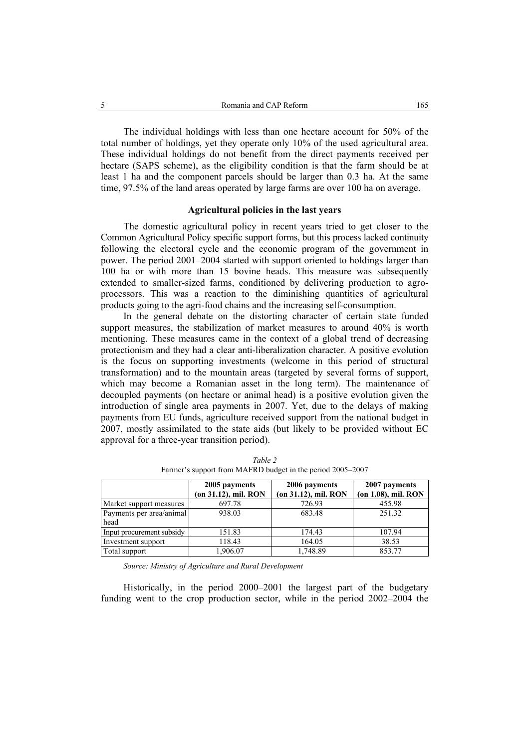The individual holdings with less than one hectare account for 50% of the total number of holdings, yet they operate only 10% of the used agricultural area. These individual holdings do not benefit from the direct payments received per hectare (SAPS scheme), as the eligibility condition is that the farm should be at least 1 ha and the component parcels should be larger than 0.3 ha. At the same time, 97.5% of the land areas operated by large farms are over 100 ha on average.

### **Agricultural policies in the last years**

The domestic agricultural policy in recent years tried to get closer to the Common Agricultural Policy specific support forms, but this process lacked continuity following the electoral cycle and the economic program of the government in power. The period 2001–2004 started with support oriented to holdings larger than 100 ha or with more than 15 bovine heads. This measure was subsequently extended to smaller-sized farms, conditioned by delivering production to agroprocessors. This was a reaction to the diminishing quantities of agricultural products going to the agri-food chains and the increasing self-consumption.

In the general debate on the distorting character of certain state funded support measures, the stabilization of market measures to around 40% is worth mentioning. These measures came in the context of a global trend of decreasing protectionism and they had a clear anti-liberalization character. A positive evolution is the focus on supporting investments (welcome in this period of structural transformation) and to the mountain areas (targeted by several forms of support, which may become a Romanian asset in the long term). The maintenance of decoupled payments (on hectare or animal head) is a positive evolution given the introduction of single area payments in 2007. Yet, due to the delays of making payments from EU funds, agriculture received support from the national budget in 2007, mostly assimilated to the state aids (but likely to be provided without EC approval for a three-year transition period).

|                           | 2005 payments        | 2006 payments        | 2007 payments       |  |
|---------------------------|----------------------|----------------------|---------------------|--|
|                           | (on 31.12), mil. RON | (on 31.12), mil. RON | (on 1.08), mil. RON |  |
| Market support measures   | 697.78               | 726.93               | 455.98              |  |
| Payments per area/animal  | 938.03               | 683.48               | 251.32              |  |
| head                      |                      |                      |                     |  |
| Input procurement subsidy | 151.83               | 174.43               | 107.94              |  |
| Investment support        | 118.43               | 164.05               | 38.53               |  |
| Total support             | 1,906.07             | 1,748.89             | 853.77              |  |

*Table 2*  Farmer's support from MAFRD budget in the period 2005–2007

*Source: Ministry of Agriculture and Rural Development* 

Historically, in the period 2000–2001 the largest part of the budgetary funding went to the crop production sector, while in the period 2002–2004 the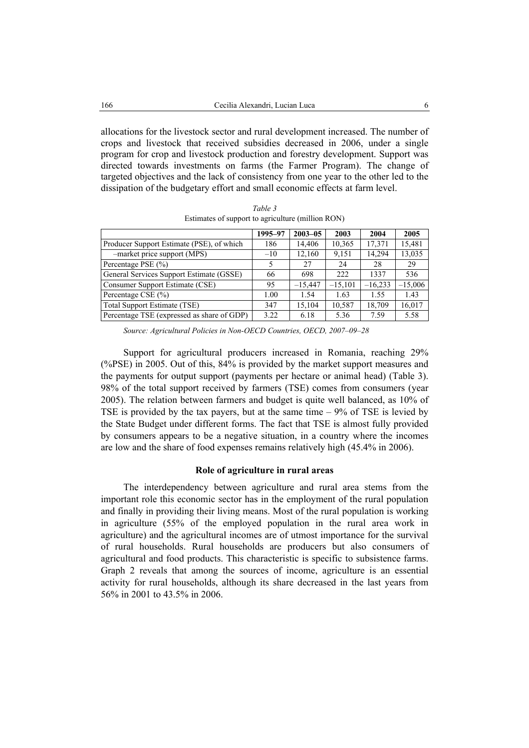allocations for the livestock sector and rural development increased. The number of crops and livestock that received subsidies decreased in 2006, under a single program for crop and livestock production and forestry development. Support was directed towards investments on farms (the Farmer Program). The change of targeted objectives and the lack of consistency from one year to the other led to the dissipation of the budgetary effort and small economic effects at farm level.

|                                            | 1995-97 | $2003 - 05$ | 2003      | 2004      | 2005      |
|--------------------------------------------|---------|-------------|-----------|-----------|-----------|
| Producer Support Estimate (PSE), of which  | 186     | 14,406      | 10,365    | 17,371    | 15,481    |
| -market price support (MPS)                | $-10$   | 12,160      | 9,151     | 14,294    | 13,035    |
| Percentage PSE (%)                         |         | 27          | 24        | 28        | 29        |
| General Services Support Estimate (GSSE)   | 66      | 698         | 222       | 1337      | 536       |
| Consumer Support Estimate (CSE)            | 95      | $-15.447$   | $-15,101$ | $-16,233$ | $-15,006$ |
| Percentage CSE (%)                         | 1.00    | 1.54        | 1.63      | 1.55      | 1.43      |
| Total Support Estimate (TSE)               | 347     | 15.104      | 10,587    | 18,709    | 16,017    |
| Percentage TSE (expressed as share of GDP) | 3.22    | 6.18        | 5.36      | 7.59      | 5.58      |

*Table 3*  Estimates of support to agriculture (million RON)

Support for agricultural producers increased in Romania, reaching 29% (%PSE) in 2005. Out of this, 84% is provided by the market support measures and the payments for output support (payments per hectare or animal head) (Table 3). 98% of the total support received by farmers (TSE) comes from consumers (year 2005). The relation between farmers and budget is quite well balanced, as 10% of TSE is provided by the tax payers, but at the same time – 9% of TSE is levied by the State Budget under different forms. The fact that TSE is almost fully provided by consumers appears to be a negative situation, in a country where the incomes are low and the share of food expenses remains relatively high (45.4% in 2006).

### **Role of agriculture in rural areas**

The interdependency between agriculture and rural area stems from the important role this economic sector has in the employment of the rural population and finally in providing their living means. Most of the rural population is working in agriculture (55% of the employed population in the rural area work in agriculture) and the agricultural incomes are of utmost importance for the survival of rural households. Rural households are producers but also consumers of agricultural and food products. This characteristic is specific to subsistence farms. Graph 2 reveals that among the sources of income, agriculture is an essential activity for rural households, although its share decreased in the last years from 56% in 2001 to 43.5% in 2006.

*Source: Agricultural Policies in Non-OECD Countries, OECD, 2007–09–28*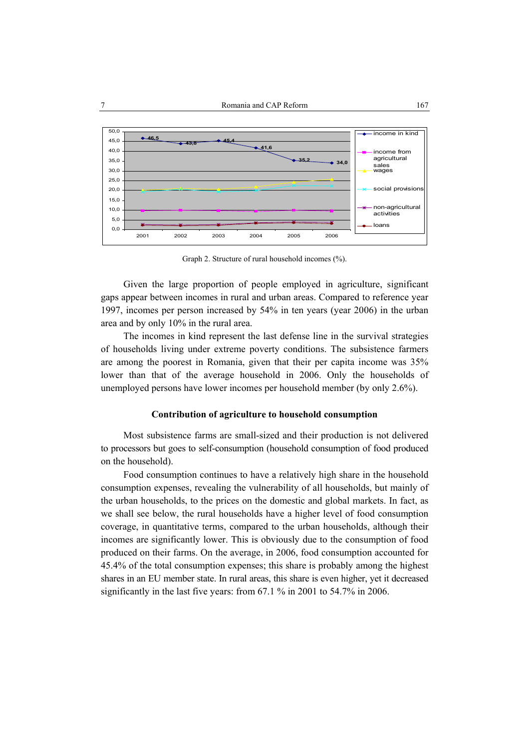

Graph 2. Structure of rural household incomes (%).

Given the large proportion of people employed in agriculture, significant gaps appear between incomes in rural and urban areas. Compared to reference year 1997, incomes per person increased by 54% in ten years (year 2006) in the urban area and by only 10% in the rural area.

The incomes in kind represent the last defense line in the survival strategies of households living under extreme poverty conditions. The subsistence farmers are among the poorest in Romania, given that their per capita income was 35% lower than that of the average household in 2006. Only the households of unemployed persons have lower incomes per household member (by only 2.6%).

### **Contribution of agriculture to household consumption**

Most subsistence farms are small-sized and their production is not delivered to processors but goes to self-consumption (household consumption of food produced on the household).

Food consumption continues to have a relatively high share in the household consumption expenses, revealing the vulnerability of all households, but mainly of the urban households, to the prices on the domestic and global markets. In fact, as we shall see below, the rural households have a higher level of food consumption coverage, in quantitative terms, compared to the urban households, although their incomes are significantly lower. This is obviously due to the consumption of food produced on their farms. On the average, in 2006, food consumption accounted for 45.4% of the total consumption expenses; this share is probably among the highest shares in an EU member state. In rural areas, this share is even higher, yet it decreased significantly in the last five years: from 67.1 % in 2001 to 54.7% in 2006.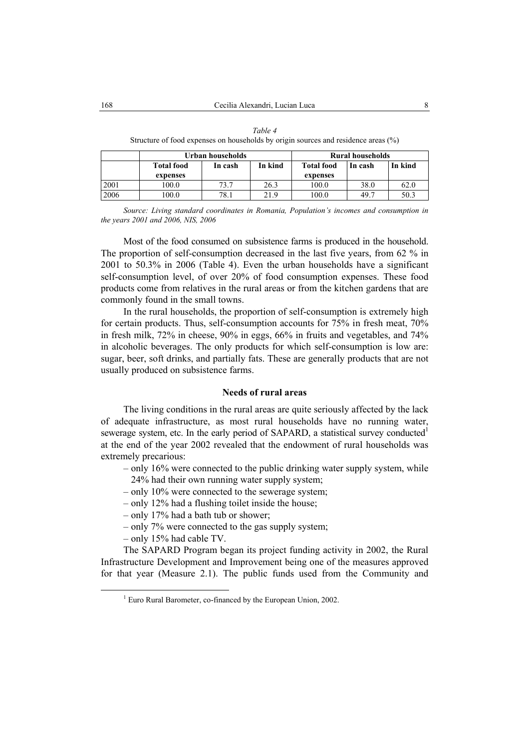|      | Urban households  |         |         | <b>Rural households</b> |         |         |
|------|-------------------|---------|---------|-------------------------|---------|---------|
|      | <b>Total food</b> | In cash | In kind | <b>Total food</b>       | In cash | In kind |
|      | expenses          |         |         | expenses                |         |         |
| 2001 | 100.0             | 73.7    | 26.3    | 100.0                   | 38.0    | 62.0    |
| 2006 | 0.001             | 78.1    | 21.9    | 0.00                    | 49.7    | 50.3    |

*Table 4*  Structure of food expenses on households by origin sources and residence areas (%)

*Source: Living standard coordinates in Romania, Population's incomes and consumption in the years 2001 and 2006, NIS, 2006* 

Most of the food consumed on subsistence farms is produced in the household. The proportion of self-consumption decreased in the last five years, from 62 % in 2001 to 50.3% in 2006 (Table 4). Even the urban households have a significant self-consumption level, of over 20% of food consumption expenses. These food products come from relatives in the rural areas or from the kitchen gardens that are commonly found in the small towns.

In the rural households, the proportion of self-consumption is extremely high for certain products. Thus, self-consumption accounts for 75% in fresh meat, 70% in fresh milk, 72% in cheese, 90% in eggs, 66% in fruits and vegetables, and 74% in alcoholic beverages. The only products for which self-consumption is low are: sugar, beer, soft drinks, and partially fats. These are generally products that are not usually produced on subsistence farms.

### **Needs of rural areas**

The living conditions in the rural areas are quite seriously affected by the lack of adequate infrastructure, as most rural households have no running water, sewerage system, etc. In the early period of SAPARD, a statistical survey conducted<sup>1</sup> at the end of the year 2002 revealed that the endowment of rural households was extremely precarious:

- only 16% were connected to the public drinking water supply system, while 24% had their own running water supply system;
- only 10% were connected to the sewerage system;
- only 12% had a flushing toilet inside the house;
- only 17% had a bath tub or shower;
- only 7% were connected to the gas supply system;
- only 15% had cable TV.

The SAPARD Program began its project funding activity in 2002, the Rural Infrastructure Development and Improvement being one of the measures approved for that year (Measure 2.1). The public funds used from the Community and

 $\frac{1}{1}$  $1$  Euro Rural Barometer, co-financed by the European Union, 2002.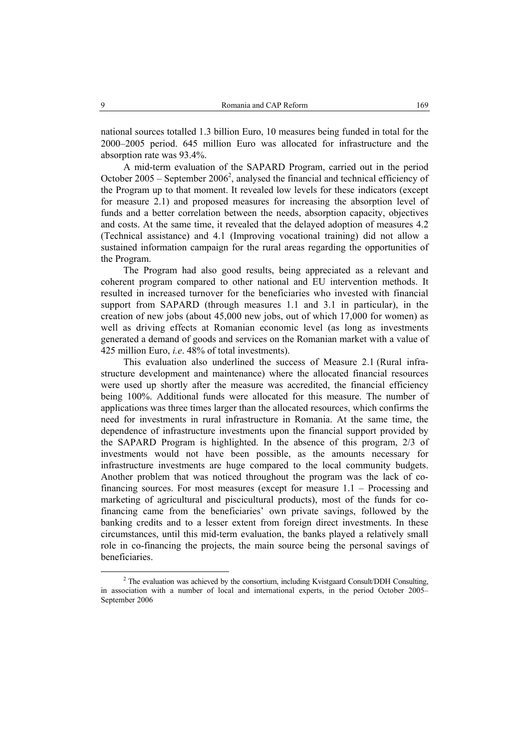national sources totalled 1.3 billion Euro, 10 measures being funded in total for the 2000–2005 period. 645 million Euro was allocated for infrastructure and the absorption rate was 93.4%.

A mid-term evaluation of the SAPARD Program, carried out in the period October  $2005$  – September  $2006^2$ , analysed the financial and technical efficiency of the Program up to that moment. It revealed low levels for these indicators (except for measure 2.1) and proposed measures for increasing the absorption level of funds and a better correlation between the needs, absorption capacity, objectives and costs. At the same time, it revealed that the delayed adoption of measures 4.2 (Technical assistance) and 4.1 (Improving vocational training) did not allow a sustained information campaign for the rural areas regarding the opportunities of the Program.

The Program had also good results, being appreciated as a relevant and coherent program compared to other national and EU intervention methods. It resulted in increased turnover for the beneficiaries who invested with financial support from SAPARD (through measures 1.1 and 3.1 in particular), in the creation of new jobs (about 45,000 new jobs, out of which 17,000 for women) as well as driving effects at Romanian economic level (as long as investments generated a demand of goods and services on the Romanian market with a value of 425 million Euro, *i.e*. 48% of total investments).

This evaluation also underlined the success of Measure 2.1 (Rural infrastructure development and maintenance) where the allocated financial resources were used up shortly after the measure was accredited, the financial efficiency being 100%. Additional funds were allocated for this measure. The number of applications was three times larger than the allocated resources, which confirms the need for investments in rural infrastructure in Romania. At the same time, the dependence of infrastructure investments upon the financial support provided by the SAPARD Program is highlighted. In the absence of this program, 2/3 of investments would not have been possible, as the amounts necessary for infrastructure investments are huge compared to the local community budgets. Another problem that was noticed throughout the program was the lack of cofinancing sources. For most measures (except for measure 1.1 – Processing and marketing of agricultural and piscicultural products), most of the funds for cofinancing came from the beneficiaries' own private savings, followed by the banking credits and to a lesser extent from foreign direct investments. In these circumstances, until this mid-term evaluation, the banks played a relatively small role in co-financing the projects, the main source being the personal savings of beneficiaries.

 <sup>2</sup>  $2$  The evaluation was achieved by the consortium, including Kvistgaard Consult/DDH Consulting, in association with a number of local and international experts, in the period October 2005– September 2006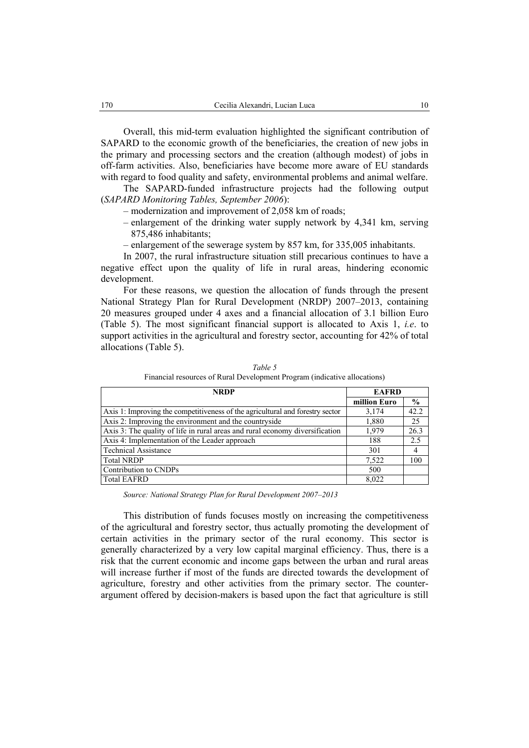Overall, this mid-term evaluation highlighted the significant contribution of SAPARD to the economic growth of the beneficiaries, the creation of new jobs in the primary and processing sectors and the creation (although modest) of jobs in off-farm activities. Also, beneficiaries have become more aware of EU standards with regard to food quality and safety, environmental problems and animal welfare.

The SAPARD-funded infrastructure projects had the following output (*SAPARD Monitoring Tables, September 2006*):

- modernization and improvement of 2,058 km of roads;
- enlargement of the drinking water supply network by 4,341 km, serving 875,486 inhabitants;
- enlargement of the sewerage system by 857 km, for 335,005 inhabitants.

In 2007, the rural infrastructure situation still precarious continues to have a negative effect upon the quality of life in rural areas, hindering economic development.

For these reasons, we question the allocation of funds through the present National Strategy Plan for Rural Development (NRDP) 2007–2013, containing 20 measures grouped under 4 axes and a financial allocation of 3.1 billion Euro (Table 5). The most significant financial support is allocated to Axis 1, *i.e*. to support activities in the agricultural and forestry sector, accounting for 42% of total allocations (Table 5).

| <b>NRDP</b>                                                                   | <b>EAFRD</b> |               |
|-------------------------------------------------------------------------------|--------------|---------------|
|                                                                               | million Euro | $\frac{0}{0}$ |
| Axis 1: Improving the competitiveness of the agricultural and forestry sector | 3,174        | 42.2          |
| Axis 2: Improving the environment and the countryside                         | 1,880        | 25            |
| Axis 3: The quality of life in rural areas and rural economy diversification  | 1.979        | 26.3          |
| Axis 4: Implementation of the Leader approach                                 | 188          | 2.5           |
| <b>Technical Assistance</b>                                                   | 301          | 4             |
| <b>Total NRDP</b>                                                             | 7,522        | 100           |
| Contribution to CNDPs                                                         | 500          |               |
| <b>Total EAFRD</b>                                                            | 8,022        |               |

*Table 5*  Financial resources of Rural Development Program (indicative allocations)

*Source: National Strategy Plan for Rural Development 2007–2013* 

This distribution of funds focuses mostly on increasing the competitiveness of the agricultural and forestry sector, thus actually promoting the development of certain activities in the primary sector of the rural economy. This sector is generally characterized by a very low capital marginal efficiency. Thus, there is a risk that the current economic and income gaps between the urban and rural areas will increase further if most of the funds are directed towards the development of agriculture, forestry and other activities from the primary sector. The counterargument offered by decision-makers is based upon the fact that agriculture is still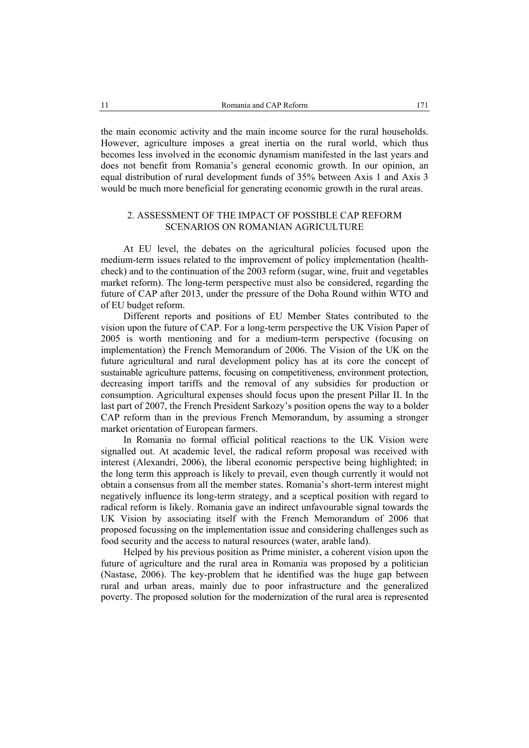the main economic activity and the main income source for the rural households. However, agriculture imposes a great inertia on the rural world, which thus becomes less involved in the economic dynamism manifested in the last years and does not benefit from Romania's general economic growth. In our opinion, an equal distribution of rural development funds of 35% between Axis 1 and Axis 3 would be much more beneficial for generating economic growth in the rural areas.

# 2. ASSESSMENT OF THE IMPACT OF POSSIBLE CAP REFORM SCENARIOS ON ROMANIAN AGRICULTURE

At EU level, the debates on the agricultural policies focused upon the medium-term issues related to the improvement of policy implementation (healthcheck) and to the continuation of the 2003 reform (sugar, wine, fruit and vegetables market reform). The long-term perspective must also be considered, regarding the future of CAP after 2013, under the pressure of the Doha Round within WTO and of EU budget reform.

Different reports and positions of EU Member States contributed to the vision upon the future of CAP. For a long-term perspective the UK Vision Paper of 2005 is worth mentioning and for a medium-term perspective (focusing on implementation) the French Memorandum of 2006. The Vision of the UK on the future agricultural and rural development policy has at its core the concept of sustainable agriculture patterns, focusing on competitiveness, environment protection, decreasing import tariffs and the removal of any subsidies for production or consumption. Agricultural expenses should focus upon the present Pillar II. In the last part of 2007, the French President Sarkozy's position opens the way to a bolder CAP reform than in the previous French Memorandum, by assuming a stronger market orientation of European farmers.

In Romania no formal official political reactions to the UK Vision were signalled out. At academic level, the radical reform proposal was received with interest (Alexandri, 2006), the liberal economic perspective being highlighted; in the long term this approach is likely to prevail, even though currently it would not obtain a consensus from all the member states. Romania's short-term interest might negatively influence its long-term strategy, and a sceptical position with regard to radical reform is likely. Romania gave an indirect unfavourable signal towards the UK Vision by associating itself with the French Memorandum of 2006 that proposed focussing on the implementation issue and considering challenges such as food security and the access to natural resources (water, arable land).

Helped by his previous position as Prime minister, a coherent vision upon the future of agriculture and the rural area in Romania was proposed by a politician (Nastase, 2006). The key-problem that he identified was the huge gap between rural and urban areas, mainly due to poor infrastructure and the generalized poverty. The proposed solution for the modernization of the rural area is represented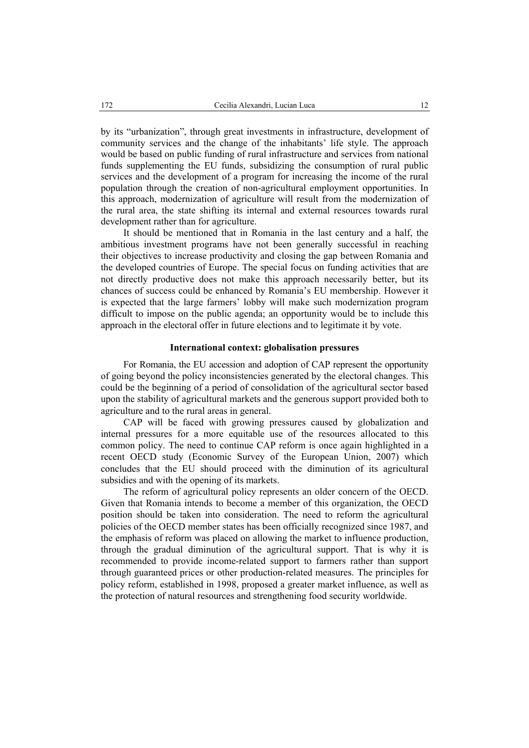by its "urbanization", through great investments in infrastructure, development of community services and the change of the inhabitants' life style. The approach would be based on public funding of rural infrastructure and services from national funds supplementing the EU funds, subsidizing the consumption of rural public services and the development of a program for increasing the income of the rural population through the creation of non-agricultural employment opportunities. In this approach, modernization of agriculture will result from the modernization of the rural area, the state shifting its internal and external resources towards rural development rather than for agriculture.

It should be mentioned that in Romania in the last century and a half, the ambitious investment programs have not been generally successful in reaching their objectives to increase productivity and closing the gap between Romania and the developed countries of Europe. The special focus on funding activities that are not directly productive does not make this approach necessarily better, but its chances of success could be enhanced by Romania's EU membership. However it is expected that the large farmers' lobby will make such modernization program difficult to impose on the public agenda; an opportunity would be to include this approach in the electoral offer in future elections and to legitimate it by vote.

### **International context: globalisation pressures**

For Romania, the EU accession and adoption of CAP represent the opportunity of going beyond the policy inconsistencies generated by the electoral changes. This could be the beginning of a period of consolidation of the agricultural sector based upon the stability of agricultural markets and the generous support provided both to agriculture and to the rural areas in general.

CAP will be faced with growing pressures caused by globalization and internal pressures for a more equitable use of the resources allocated to this common policy. The need to continue CAP reform is once again highlighted in a recent OECD study (Economic Survey of the European Union, 2007) which concludes that the EU should proceed with the diminution of its agricultural subsidies and with the opening of its markets.

The reform of agricultural policy represents an older concern of the OECD. Given that Romania intends to become a member of this organization, the OECD position should be taken into consideration. The need to reform the agricultural policies of the OECD member states has been officially recognized since 1987, and the emphasis of reform was placed on allowing the market to influence production, through the gradual diminution of the agricultural support. That is why it is recommended to provide income-related support to farmers rather than support through guaranteed prices or other production-related measures. The principles for policy reform, established in 1998, proposed a greater market influence, as well as the protection of natural resources and strengthening food security worldwide.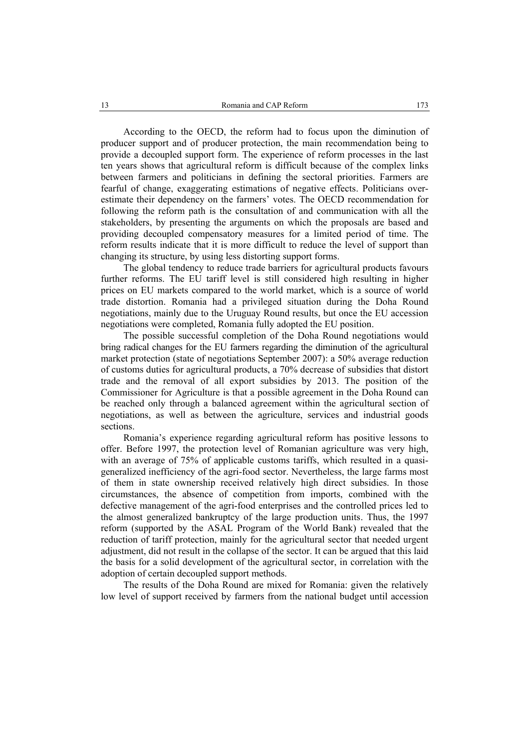According to the OECD, the reform had to focus upon the diminution of producer support and of producer protection, the main recommendation being to provide a decoupled support form. The experience of reform processes in the last ten years shows that agricultural reform is difficult because of the complex links between farmers and politicians in defining the sectoral priorities. Farmers are fearful of change, exaggerating estimations of negative effects. Politicians overestimate their dependency on the farmers' votes. The OECD recommendation for following the reform path is the consultation of and communication with all the stakeholders, by presenting the arguments on which the proposals are based and providing decoupled compensatory measures for a limited period of time. The reform results indicate that it is more difficult to reduce the level of support than changing its structure, by using less distorting support forms.

The global tendency to reduce trade barriers for agricultural products favours further reforms. The EU tariff level is still considered high resulting in higher prices on EU markets compared to the world market, which is a source of world trade distortion. Romania had a privileged situation during the Doha Round negotiations, mainly due to the Uruguay Round results, but once the EU accession negotiations were completed, Romania fully adopted the EU position.

The possible successful completion of the Doha Round negotiations would bring radical changes for the EU farmers regarding the diminution of the agricultural market protection (state of negotiations September 2007): a 50% average reduction of customs duties for agricultural products, a 70% decrease of subsidies that distort trade and the removal of all export subsidies by 2013. The position of the Commissioner for Agriculture is that a possible agreement in the Doha Round can be reached only through a balanced agreement within the agricultural section of negotiations, as well as between the agriculture, services and industrial goods sections.

Romania's experience regarding agricultural reform has positive lessons to offer. Before 1997, the protection level of Romanian agriculture was very high, with an average of 75% of applicable customs tariffs, which resulted in a quasigeneralized inefficiency of the agri-food sector. Nevertheless, the large farms most of them in state ownership received relatively high direct subsidies. In those circumstances, the absence of competition from imports, combined with the defective management of the agri-food enterprises and the controlled prices led to the almost generalized bankruptcy of the large production units. Thus, the 1997 reform (supported by the ASAL Program of the World Bank) revealed that the reduction of tariff protection, mainly for the agricultural sector that needed urgent adjustment, did not result in the collapse of the sector. It can be argued that this laid the basis for a solid development of the agricultural sector, in correlation with the adoption of certain decoupled support methods.

The results of the Doha Round are mixed for Romania: given the relatively low level of support received by farmers from the national budget until accession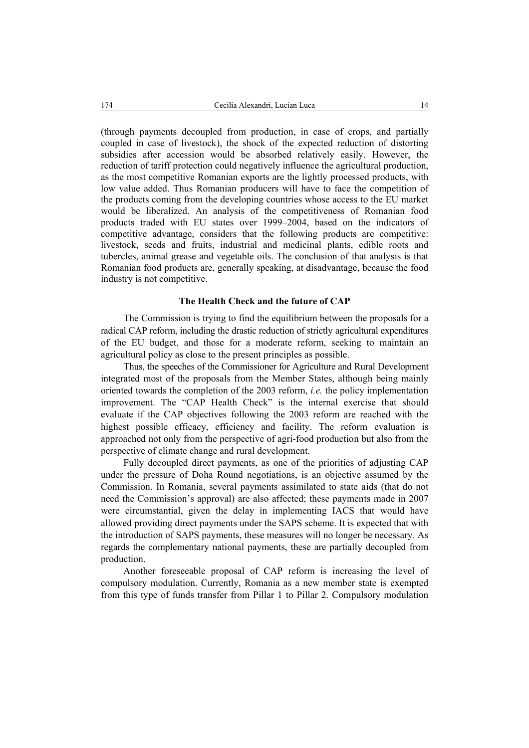(through payments decoupled from production, in case of crops, and partially coupled in case of livestock), the shock of the expected reduction of distorting subsidies after accession would be absorbed relatively easily. However, the reduction of tariff protection could negatively influence the agricultural production, as the most competitive Romanian exports are the lightly processed products, with low value added. Thus Romanian producers will have to face the competition of the products coming from the developing countries whose access to the EU market would be liberalized. An analysis of the competitiveness of Romanian food products traded with EU states over 1999–2004, based on the indicators of competitive advantage, considers that the following products are competitive: livestock, seeds and fruits, industrial and medicinal plants, edible roots and tubercles, animal grease and vegetable oils. The conclusion of that analysis is that Romanian food products are, generally speaking, at disadvantage, because the food industry is not competitive.

### **The Health Check and the future of CAP**

The Commission is trying to find the equilibrium between the proposals for a radical CAP reform, including the drastic reduction of strictly agricultural expenditures of the EU budget, and those for a moderate reform, seeking to maintain an agricultural policy as close to the present principles as possible.

Thus, the speeches of the Commissioner for Agriculture and Rural Development integrated most of the proposals from the Member States, although being mainly oriented towards the completion of the 2003 reform, *i.e.* the policy implementation improvement. The "CAP Health Check" is the internal exercise that should evaluate if the CAP objectives following the 2003 reform are reached with the highest possible efficacy, efficiency and facility. The reform evaluation is approached not only from the perspective of agri-food production but also from the perspective of climate change and rural development.

Fully decoupled direct payments, as one of the priorities of adjusting CAP under the pressure of Doha Round negotiations, is an objective assumed by the Commission. In Romania, several payments assimilated to state aids (that do not need the Commission's approval) are also affected; these payments made in 2007 were circumstantial, given the delay in implementing IACS that would have allowed providing direct payments under the SAPS scheme. It is expected that with the introduction of SAPS payments, these measures will no longer be necessary. As regards the complementary national payments, these are partially decoupled from production.

Another foreseeable proposal of CAP reform is increasing the level of compulsory modulation. Currently, Romania as a new member state is exempted from this type of funds transfer from Pillar 1 to Pillar 2. Compulsory modulation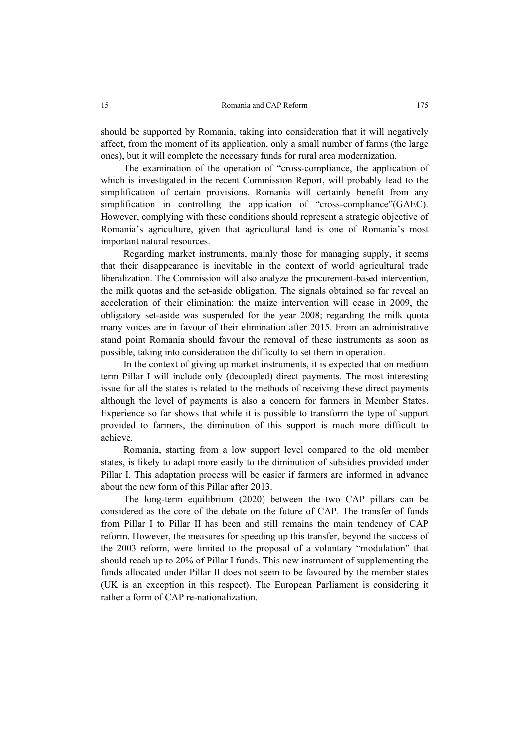should be supported by Romania, taking into consideration that it will negatively affect, from the moment of its application, only a small number of farms (the large ones), but it will complete the necessary funds for rural area modernization.

The examination of the operation of "cross-compliance, the application of which is investigated in the recent Commission Report, will probably lead to the simplification of certain provisions. Romania will certainly benefit from any simplification in controlling the application of "cross-compliance"(GAEC). However, complying with these conditions should represent a strategic objective of Romania's agriculture, given that agricultural land is one of Romania's most important natural resources.

Regarding market instruments, mainly those for managing supply, it seems that their disappearance is inevitable in the context of world agricultural trade liberalization. The Commission will also analyze the procurement-based intervention, the milk quotas and the set-aside obligation. The signals obtained so far reveal an acceleration of their elimination: the maize intervention will cease in 2009, the obligatory set-aside was suspended for the year 2008; regarding the milk quota many voices are in favour of their elimination after 2015. From an administrative stand point Romania should favour the removal of these instruments as soon as possible, taking into consideration the difficulty to set them in operation.

In the context of giving up market instruments, it is expected that on medium term Pillar I will include only (decoupled) direct payments. The most interesting issue for all the states is related to the methods of receiving these direct payments although the level of payments is also a concern for farmers in Member States. Experience so far shows that while it is possible to transform the type of support provided to farmers, the diminution of this support is much more difficult to achieve.

Romania, starting from a low support level compared to the old member states, is likely to adapt more easily to the diminution of subsidies provided under Pillar I. This adaptation process will be easier if farmers are informed in advance about the new form of this Pillar after 2013.

The long-term equilibrium (2020) between the two CAP pillars can be considered as the core of the debate on the future of CAP. The transfer of funds from Pillar I to Pillar II has been and still remains the main tendency of CAP reform. However, the measures for speeding up this transfer, beyond the success of the 2003 reform, were limited to the proposal of a voluntary "modulation" that should reach up to 20% of Pillar I funds. This new instrument of supplementing the funds allocated under Pillar II does not seem to be favoured by the member states (UK is an exception in this respect). The European Parliament is considering it rather a form of CAP re-nationalization.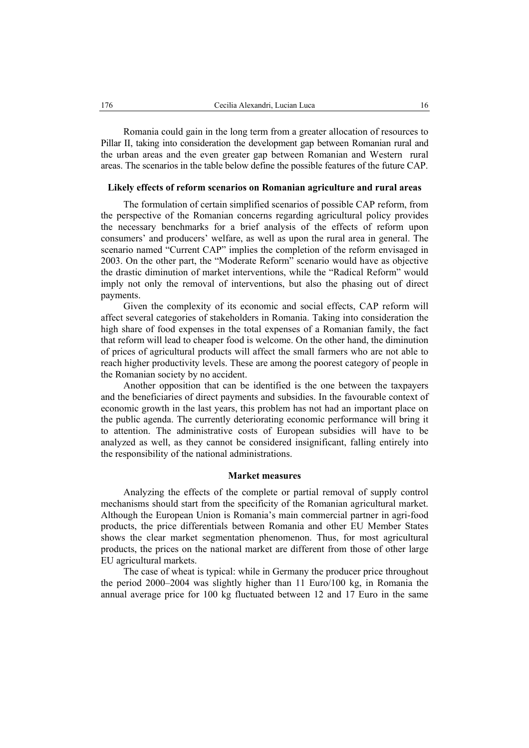Romania could gain in the long term from a greater allocation of resources to Pillar II, taking into consideration the development gap between Romanian rural and the urban areas and the even greater gap between Romanian and Western rural areas. The scenarios in the table below define the possible features of the future CAP.

### **Likely effects of reform scenarios on Romanian agriculture and rural areas**

The formulation of certain simplified scenarios of possible CAP reform, from the perspective of the Romanian concerns regarding agricultural policy provides the necessary benchmarks for a brief analysis of the effects of reform upon consumers' and producers' welfare, as well as upon the rural area in general. The scenario named "Current CAP" implies the completion of the reform envisaged in 2003. On the other part, the "Moderate Reform" scenario would have as objective the drastic diminution of market interventions, while the "Radical Reform" would imply not only the removal of interventions, but also the phasing out of direct payments.

Given the complexity of its economic and social effects, CAP reform will affect several categories of stakeholders in Romania. Taking into consideration the high share of food expenses in the total expenses of a Romanian family, the fact that reform will lead to cheaper food is welcome. On the other hand, the diminution of prices of agricultural products will affect the small farmers who are not able to reach higher productivity levels. These are among the poorest category of people in the Romanian society by no accident.

Another opposition that can be identified is the one between the taxpayers and the beneficiaries of direct payments and subsidies. In the favourable context of economic growth in the last years, this problem has not had an important place on the public agenda. The currently deteriorating economic performance will bring it to attention. The administrative costs of European subsidies will have to be analyzed as well, as they cannot be considered insignificant, falling entirely into the responsibility of the national administrations.

### **Market measures**

Analyzing the effects of the complete or partial removal of supply control mechanisms should start from the specificity of the Romanian agricultural market. Although the European Union is Romania's main commercial partner in agri-food products, the price differentials between Romania and other EU Member States shows the clear market segmentation phenomenon. Thus, for most agricultural products, the prices on the national market are different from those of other large EU agricultural markets.

The case of wheat is typical: while in Germany the producer price throughout the period 2000–2004 was slightly higher than 11 Euro/100 kg, in Romania the annual average price for 100 kg fluctuated between 12 and 17 Euro in the same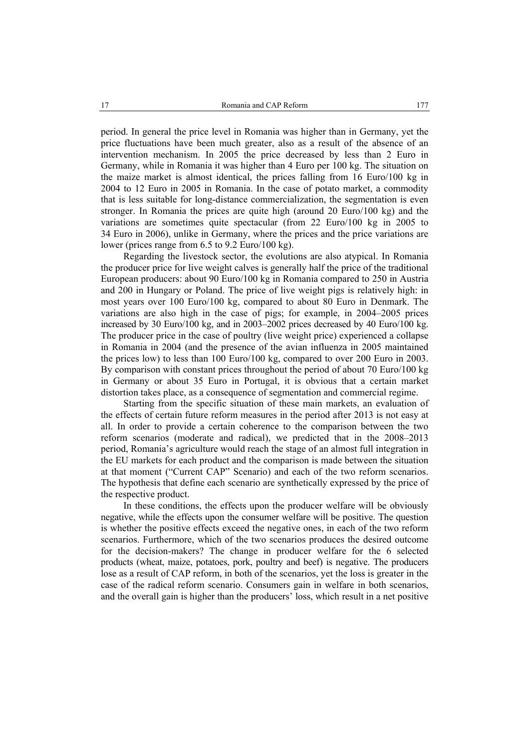period. In general the price level in Romania was higher than in Germany, yet the price fluctuations have been much greater, also as a result of the absence of an intervention mechanism. In 2005 the price decreased by less than 2 Euro in Germany, while in Romania it was higher than 4 Euro per 100 kg. The situation on the maize market is almost identical, the prices falling from 16 Euro/100 kg in 2004 to 12 Euro in 2005 in Romania. In the case of potato market, a commodity that is less suitable for long-distance commercialization, the segmentation is even stronger. In Romania the prices are quite high (around 20 Euro/100 kg) and the variations are sometimes quite spectacular (from 22 Euro/100 kg in 2005 to 34 Euro in 2006), unlike in Germany, where the prices and the price variations are lower (prices range from 6.5 to 9.2 Euro/100 kg).

Regarding the livestock sector, the evolutions are also atypical. In Romania the producer price for live weight calves is generally half the price of the traditional European producers: about 90 Euro/100 kg in Romania compared to 250 in Austria and 200 in Hungary or Poland. The price of live weight pigs is relatively high: in most years over 100 Euro/100 kg, compared to about 80 Euro in Denmark. The variations are also high in the case of pigs; for example, in 2004–2005 prices increased by 30 Euro/100 kg, and in 2003–2002 prices decreased by 40 Euro/100 kg. The producer price in the case of poultry (live weight price) experienced a collapse in Romania in 2004 (and the presence of the avian influenza in 2005 maintained the prices low) to less than 100 Euro/100 kg, compared to over 200 Euro in 2003. By comparison with constant prices throughout the period of about 70 Euro/100 kg in Germany or about 35 Euro in Portugal, it is obvious that a certain market distortion takes place, as a consequence of segmentation and commercial regime.

Starting from the specific situation of these main markets, an evaluation of the effects of certain future reform measures in the period after 2013 is not easy at all. In order to provide a certain coherence to the comparison between the two reform scenarios (moderate and radical), we predicted that in the 2008–2013 period, Romania's agriculture would reach the stage of an almost full integration in the EU markets for each product and the comparison is made between the situation at that moment ("Current CAP" Scenario) and each of the two reform scenarios. The hypothesis that define each scenario are synthetically expressed by the price of the respective product.

In these conditions, the effects upon the producer welfare will be obviously negative, while the effects upon the consumer welfare will be positive. The question is whether the positive effects exceed the negative ones, in each of the two reform scenarios. Furthermore, which of the two scenarios produces the desired outcome for the decision-makers? The change in producer welfare for the 6 selected products (wheat, maize, potatoes, pork, poultry and beef) is negative. The producers lose as a result of CAP reform, in both of the scenarios, yet the loss is greater in the case of the radical reform scenario. Consumers gain in welfare in both scenarios, and the overall gain is higher than the producers' loss, which result in a net positive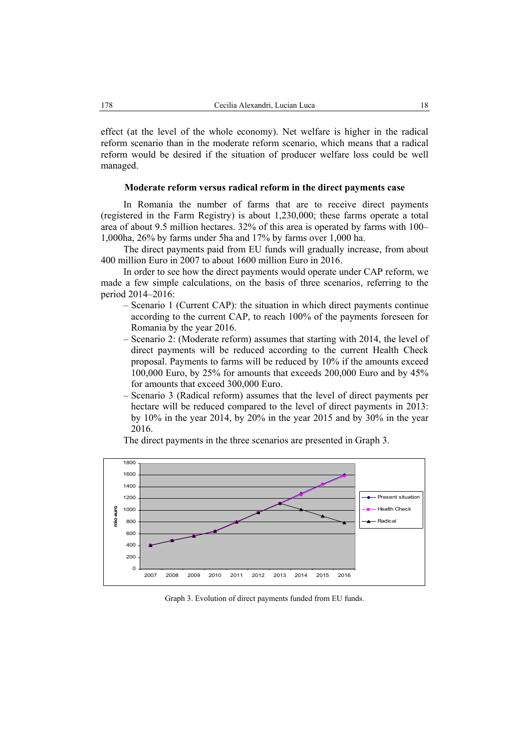effect (at the level of the whole economy). Net welfare is higher in the radical reform scenario than in the moderate reform scenario, which means that a radical reform would be desired if the situation of producer welfare loss could be well managed.

### **Moderate reform versus radical reform in the direct payments case**

In Romania the number of farms that are to receive direct payments (registered in the Farm Registry) is about 1,230,000; these farms operate a total area of about 9.5 million hectares. 32% of this area is operated by farms with 100– 1,000ha, 26% by farms under 5ha and 17% by farms over 1,000 ha.

The direct payments paid from EU funds will gradually increase, from about 400 million Euro in 2007 to about 1600 million Euro in 2016.

In order to see how the direct payments would operate under CAP reform, we made a few simple calculations, on the basis of three scenarios, referring to the period 2014–2016:

- Scenario 1 (Current CAP): the situation in which direct payments continue according to the current CAP, to reach 100% of the payments foreseen for Romania by the year 2016.
- Scenario 2: (Moderate reform) assumes that starting with 2014, the level of direct payments will be reduced according to the current Health Check proposal. Payments to farms will be reduced by 10% if the amounts exceed 100,000 Euro, by 25% for amounts that exceeds 200,000 Euro and by 45% for amounts that exceed 300,000 Euro.
- Scenario 3 (Radical reform) assumes that the level of direct payments per hectare will be reduced compared to the level of direct payments in 2013: by 10% in the year 2014, by 20% in the year 2015 and by 30% in the year 2016.

The direct payments in the three scenarios are presented in Graph 3.



Graph 3. Evolution of direct payments funded from EU funds.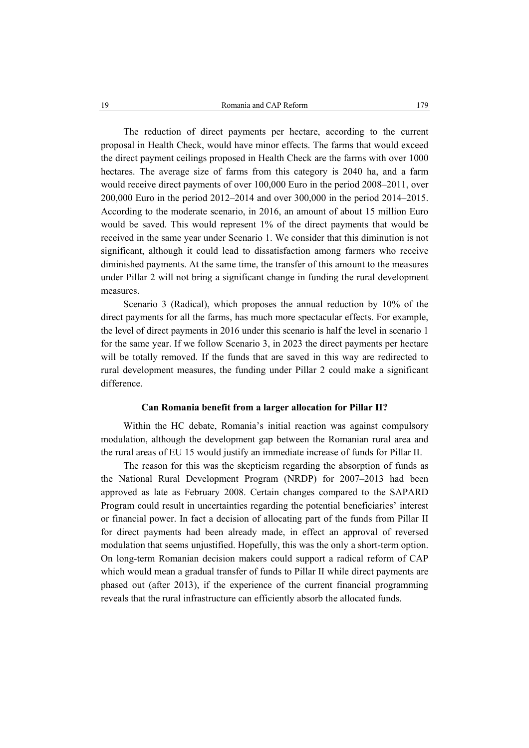The reduction of direct payments per hectare, according to the current proposal in Health Check, would have minor effects. The farms that would exceed the direct payment ceilings proposed in Health Check are the farms with over 1000 hectares. The average size of farms from this category is 2040 ha, and a farm would receive direct payments of over 100,000 Euro in the period 2008–2011, over 200,000 Euro in the period 2012–2014 and over 300,000 in the period 2014–2015. According to the moderate scenario, in 2016, an amount of about 15 million Euro would be saved. This would represent 1% of the direct payments that would be received in the same year under Scenario 1. We consider that this diminution is not significant, although it could lead to dissatisfaction among farmers who receive diminished payments. At the same time, the transfer of this amount to the measures under Pillar 2 will not bring a significant change in funding the rural development measures.

Scenario 3 (Radical), which proposes the annual reduction by 10% of the direct payments for all the farms, has much more spectacular effects. For example, the level of direct payments in 2016 under this scenario is half the level in scenario 1 for the same year. If we follow Scenario 3, in 2023 the direct payments per hectare will be totally removed. If the funds that are saved in this way are redirected to rural development measures, the funding under Pillar 2 could make a significant difference.

### **Can Romania benefit from a larger allocation for Pillar II?**

Within the HC debate, Romania's initial reaction was against compulsory modulation, although the development gap between the Romanian rural area and the rural areas of EU 15 would justify an immediate increase of funds for Pillar II.

The reason for this was the skepticism regarding the absorption of funds as the National Rural Development Program (NRDP) for 2007–2013 had been approved as late as February 2008. Certain changes compared to the SAPARD Program could result in uncertainties regarding the potential beneficiaries' interest or financial power. In fact a decision of allocating part of the funds from Pillar II for direct payments had been already made, in effect an approval of reversed modulation that seems unjustified. Hopefully, this was the only a short-term option. On long-term Romanian decision makers could support a radical reform of CAP which would mean a gradual transfer of funds to Pillar II while direct payments are phased out (after 2013), if the experience of the current financial programming reveals that the rural infrastructure can efficiently absorb the allocated funds.